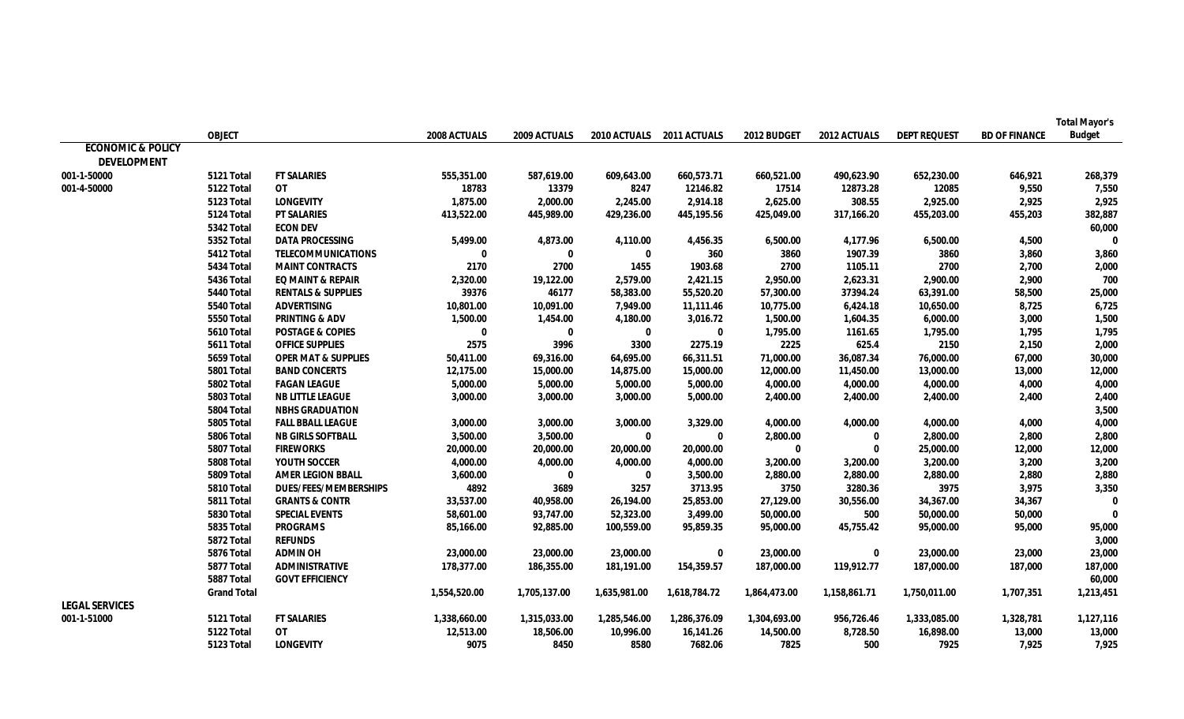|                              |                    |                                |              |              |                           |              |              |              |                     |                      | <b>Total Mayor's</b> |
|------------------------------|--------------------|--------------------------------|--------------|--------------|---------------------------|--------------|--------------|--------------|---------------------|----------------------|----------------------|
|                              | <b>OBJECT</b>      |                                | 2008 ACTUALS | 2009 ACTUALS | 2010 ACTUALS 2011 ACTUALS |              | 2012 BUDGET  | 2012 ACTUALS | <b>DEPT REQUEST</b> | <b>BD OF FINANCE</b> | <b>Budget</b>        |
| <b>ECONOMIC &amp; POLICY</b> |                    |                                |              |              |                           |              |              |              |                     |                      |                      |
| <b>DEVELOPMENT</b>           |                    |                                |              |              |                           |              |              |              |                     |                      |                      |
| 001-1-50000                  | 5121 Total         | <b>FT SALARIES</b>             | 555,351.00   | 587,619.00   | 609,643.00                | 660,573.71   | 660,521.00   | 490,623.90   | 652,230.00          | 646,921              | 268,379              |
| 001-4-50000                  | 5122 Total         | <b>OT</b>                      | 18783        | 13379        | 8247                      | 12146.82     | 17514        | 12873.28     | 12085               | 9,550                | 7,550                |
|                              | 5123 Total         | <b>LONGEVITY</b>               | 1,875.00     | 2,000.00     | 2,245.00                  | 2,914.18     | 2,625.00     | 308.55       | 2,925.00            | 2,925                | 2,925                |
|                              | 5124 Total         | <b>PT SALARIES</b>             | 413,522.00   | 445,989.00   | 429,236.00                | 445,195.56   | 425,049.00   | 317,166.20   | 455,203.00          | 455,203              | 382,887              |
|                              | 5342 Total         | <b>ECON DEV</b>                |              |              |                           |              |              |              |                     |                      | 60,000               |
|                              | 5352 Total         | <b>DATA PROCESSING</b>         | 5,499.00     | 4,873.00     | 4,110.00                  | 4,456.35     | 6,500.00     | 4,177.96     | 6,500.00            | 4,500                | 0                    |
|                              | 5412 Total         | <b>TELECOMMUNICATIONS</b>      | 0            | $\bf{0}$     | $\bf{0}$                  | 360          | 3860         | 1907.39      | 3860                | 3,860                | 3,860                |
|                              | 5434 Total         | <b>MAINT CONTRACTS</b>         | 2170         | 2700         | 1455                      | 1903.68      | 2700         | 1105.11      | 2700                | 2,700                | 2,000                |
|                              | 5436 Total         | <b>EQ MAINT &amp; REPAIR</b>   | 2,320.00     | 19,122.00    | 2,579.00                  | 2,421.15     | 2,950.00     | 2,623.31     | 2,900.00            | 2,900                | 700                  |
|                              | 5440 Total         | <b>RENTALS &amp; SUPPLIES</b>  | 39376        | 46177        | 58,383.00                 | 55,520.20    | 57,300.00    | 37394.24     | 63,391.00           | 58,500               | 25,000               |
|                              | 5540 Total         | <b>ADVERTISING</b>             | 10,801.00    | 10,091.00    | 7,949.00                  | 11,111.46    | 10,775.00    | 6,424.18     | 10,650.00           | 8,725                | 6,725                |
|                              | 5550 Total         | <b>PRINTING &amp; ADV</b>      | 1,500.00     | 1,454.00     | 4,180.00                  | 3,016.72     | 1,500.00     | 1,604.35     | 6,000.00            | 3,000                | 1,500                |
|                              | 5610 Total         | <b>POSTAGE &amp; COPIES</b>    | $\bf{0}$     | $\mathbf 0$  | $\mathbf 0$               | $\mathbf 0$  | 1,795.00     | 1161.65      | 1,795.00            | 1,795                | 1,795                |
|                              | 5611 Total         | <b>OFFICE SUPPLIES</b>         | 2575         | 3996         | 3300                      | 2275.19      | 2225         | 625.4        | 2150                | 2,150                | 2,000                |
|                              | 5659 Total         | <b>OPER MAT &amp; SUPPLIES</b> | 50,411.00    | 69,316.00    | 64,695.00                 | 66,311.51    | 71,000.00    | 36,087.34    | 76,000.00           | 67,000               | 30,000               |
|                              | 5801 Total         | <b>BAND CONCERTS</b>           | 12,175.00    | 15,000.00    | 14,875.00                 | 15,000.00    | 12,000.00    | 11,450.00    | 13,000.00           | 13,000               | 12,000               |
|                              | 5802 Total         | <b>FAGAN LEAGUE</b>            | 5,000.00     | 5,000.00     | 5,000.00                  | 5,000.00     | 4,000.00     | 4,000.00     | 4,000.00            | 4,000                | 4,000                |
|                              | 5803 Total         | <b>NB LITTLE LEAGUE</b>        | 3,000.00     | 3,000.00     | 3,000.00                  | 5,000.00     | 2,400.00     | 2,400.00     | 2,400.00            | 2,400                | 2,400                |
|                              | 5804 Total         | <b>NBHS GRADUATION</b>         |              |              |                           |              |              |              |                     |                      | 3,500                |
|                              | 5805 Total         | <b>FALL BBALL LEAGUE</b>       | 3,000.00     | 3,000.00     | 3,000.00                  | 3,329.00     | 4,000.00     | 4,000.00     | 4,000.00            | 4,000                | 4,000                |
|                              | 5806 Total         | <b>NB GIRLS SOFTBALL</b>       | 3,500.00     | 3,500.00     | $\mathbf 0$               | $\bf{0}$     | 2,800.00     | $\mathbf 0$  | 2,800.00            | 2,800                | 2,800                |
|                              | 5807 Total         | <b>FIREWORKS</b>               | 20,000.00    | 20,000.00    | 20,000.00                 | 20,000.00    | $\mathbf{0}$ | $\bf{0}$     | 25,000.00           | 12,000               | 12,000               |
|                              | 5808 Total         | <b>YOUTH SOCCER</b>            | 4,000.00     | 4,000.00     | 4,000.00                  | 4,000.00     | 3,200.00     | 3,200.00     | 3,200.00            | 3,200                | 3,200                |
|                              | 5809 Total         | <b>AMER LEGION BBALL</b>       | 3,600.00     | $\bf{0}$     | $\mathbf 0$               | 3,500.00     | 2,880.00     | 2,880.00     | 2,880.00            | 2,880                | 2,880                |
|                              | 5810 Total         | <b>DUES/FEES/MEMBERSHIPS</b>   | 4892         | 3689         | 3257                      | 3713.95      | 3750         | 3280.36      | 3975                | 3,975                | 3,350                |
|                              | 5811 Total         | <b>GRANTS &amp; CONTR</b>      | 33,537.00    | 40,958.00    | 26,194.00                 | 25,853.00    | 27,129.00    | 30,556.00    | 34,367.00           | 34,367               | 0                    |
|                              | 5830 Total         | <b>SPECIAL EVENTS</b>          | 58,601.00    | 93,747.00    | 52,323.00                 | 3,499.00     | 50,000.00    | 500          | 50,000.00           | 50,000               | 0                    |
|                              | 5835 Total         | <b>PROGRAMS</b>                | 85,166.00    | 92,885.00    | 100,559.00                | 95,859.35    | 95,000.00    | 45,755.42    | 95,000.00           | 95,000               | 95,000               |
|                              | 5872 Total         | <b>REFUNDS</b>                 |              |              |                           |              |              |              |                     |                      | 3,000                |
|                              | 5876 Total         | <b>ADMIN OH</b>                | 23,000.00    | 23,000.00    | 23,000.00                 | 0            | 23,000.00    | 0            | 23,000.00           | 23,000               | 23,000               |
|                              | 5877 Total         | <b>ADMINISTRATIVE</b>          | 178,377.00   | 186,355.00   | 181,191.00                | 154,359.57   | 187,000.00   | 119,912.77   | 187,000.00          | 187,000              | 187,000              |
|                              | 5887 Total         | <b>GOVT EFFICIENCY</b>         |              |              |                           |              |              |              |                     |                      | 60,000               |
|                              | <b>Grand Total</b> |                                | 1,554,520.00 | 1,705,137.00 | 1,635,981.00              | 1,618,784.72 | 1,864,473.00 | 1,158,861.71 | 1,750,011.00        | 1,707,351            | 1,213,451            |
| <b>LEGAL SERVICES</b>        |                    |                                |              |              |                           |              |              |              |                     |                      |                      |
| 001-1-51000                  | 5121 Total         | <b>FT SALARIES</b>             | 1,338,660.00 | 1,315,033.00 | 1,285,546.00              | 1,286,376.09 | 1,304,693.00 | 956,726.46   | 1,333,085.00        | 1,328,781            | 1,127,116            |
|                              | 5122 Total         | OT                             | 12,513.00    | 18,506.00    | 10,996.00                 | 16,141.26    | 14,500.00    | 8,728.50     | 16,898.00           | 13,000               | 13,000               |
|                              | 5123 Total         | <b>LONGEVITY</b>               | 9075         | 8450         | 8580                      | 7682.06      | 7825         | 500          | 7925                | 7,925                | 7,925                |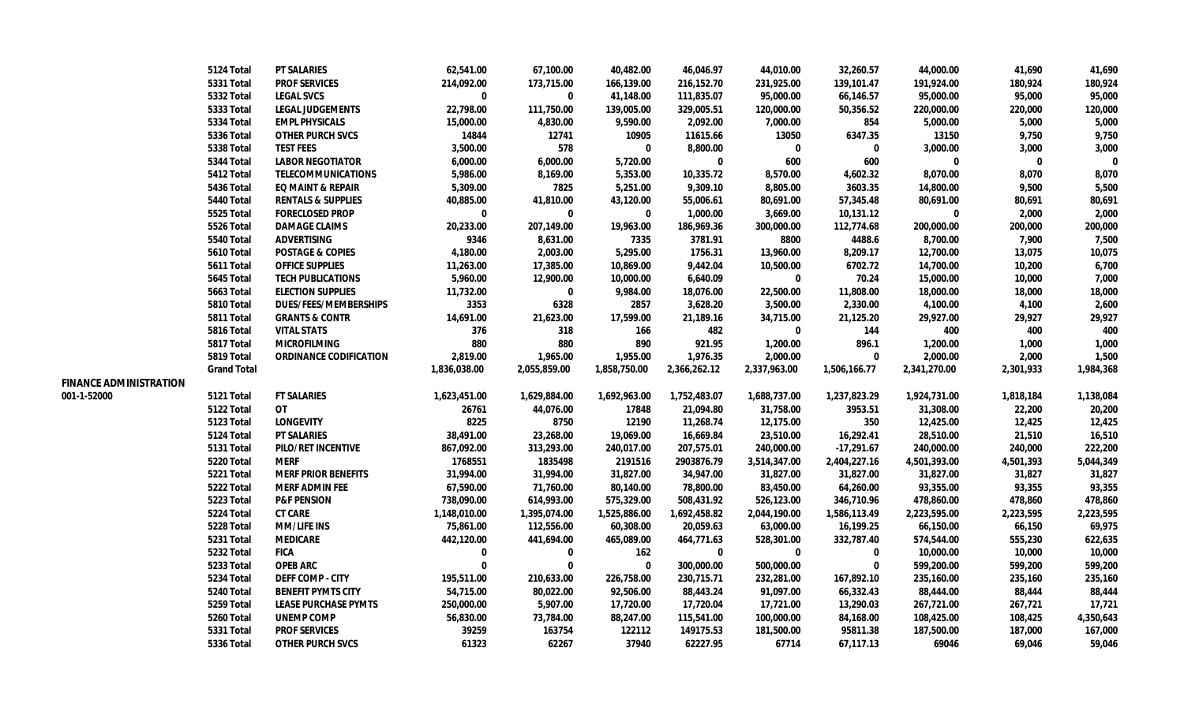|                               | 5124 Total         | <b>PT SALARIES</b>            | 62,541.00    | 67,100.00    | 40,482.00    | 46,046.97    | 44,010.00    | 32,260.57    | 44,000.00    | 41,690      | 41,690    |
|-------------------------------|--------------------|-------------------------------|--------------|--------------|--------------|--------------|--------------|--------------|--------------|-------------|-----------|
|                               | <b>5331 Total</b>  | <b>PROF SERVICES</b>          | 214,092.00   | 173,715.00   | 166,139.00   | 216,152.70   | 231,925.00   | 139,101.47   | 191,924.00   | 180,924     | 180,924   |
|                               | 5332 Total         | <b>LEGAL SVCS</b>             | $\mathbf{0}$ | 0            | 41,148.00    | 111,835.07   | 95,000.00    | 66,146.57    | 95,000.00    | 95,000      | 95,000    |
|                               | 5333 Total         | <b>LEGAL JUDGEMENTS</b>       | 22,798.00    | 111,750.00   | 139,005.00   | 329,005.51   | 120,000.00   | 50,356.52    | 220,000.00   | 220,000     | 120,000   |
|                               | 5334 Total         | <b>EMPL PHYSICALS</b>         | 15,000.00    | 4,830.00     | 9,590.00     | 2,092.00     | 7,000.00     | 854          | 5,000.00     | 5,000       | 5,000     |
|                               | <b>5336 Total</b>  | <b>OTHER PURCH SVCS</b>       | 14844        | 12741        | 10905        | 11615.66     | 13050        | 6347.35      | 13150        | 9,750       | 9,750     |
|                               | 5338 Total         | <b>TEST FEES</b>              | 3,500.00     | 578          | $\bf{0}$     | 8,800.00     | $\bf{0}$     | $\mathbf 0$  | 3,000.00     | 3,000       | 3,000     |
|                               | 5344 Total         | <b>LABOR NEGOTIATOR</b>       | 6,000.00     | 6,000.00     | 5,720.00     | $\bf{0}$     | 600          | 600          | $\bf{0}$     | $\mathbf 0$ | $\Omega$  |
|                               | 5412 Total         | <b>TELECOMMUNICATIONS</b>     | 5,986.00     | 8,169.00     | 5,353.00     | 10,335.72    | 8,570.00     | 4,602.32     | 8,070.00     | 8,070       | 8,070     |
|                               | <b>5436 Total</b>  | <b>EQ MAINT &amp; REPAIR</b>  | 5,309.00     | 7825         | 5,251.00     | 9,309.10     | 8,805.00     | 3603.35      | 14,800.00    | 9,500       | 5,500     |
|                               | 5440 Total         | <b>RENTALS &amp; SUPPLIES</b> | 40,885.00    | 41,810.00    | 43,120.00    | 55,006.61    | 80,691.00    | 57,345.48    | 80,691.00    | 80,691      | 80,691    |
|                               | 5525 Total         | <b>FORECLOSED PROP</b>        | $\bf{0}$     | 0            | 0            | 1,000.00     | 3,669.00     | 10,131.12    | 0            | 2,000       | 2,000     |
|                               | 5526 Total         | <b>DAMAGE CLAIMS</b>          | 20,233.00    | 207,149.00   | 19,963.00    | 186,969.36   | 300,000.00   | 112,774.68   | 200,000.00   | 200,000     | 200,000   |
|                               | 5540 Total         | <b>ADVERTISING</b>            | 9346         | 8,631.00     | 7335         | 3781.91      | 8800         | 4488.6       | 8,700.00     | 7,900       | 7,500     |
|                               | <b>5610 Total</b>  | <b>POSTAGE &amp; COPIES</b>   | 4,180.00     | 2,003.00     | 5,295.00     | 1756.31      | 13,960.00    | 8,209.17     | 12,700.00    | 13,075      | 10,075    |
|                               | 5611 Total         | <b>OFFICE SUPPLIES</b>        | 11,263.00    | 17,385.00    | 10,869.00    | 9,442.04     | 10,500.00    | 6702.72      | 14,700.00    | 10,200      | 6,700     |
|                               | 5645 Total         | <b>TECH PUBLICATIONS</b>      | 5,960.00     | 12,900.00    | 10,000.00    | 6,640.09     | $\bf{0}$     | 70.24        | 15,000.00    | 10,000      | 7,000     |
|                               | <b>5663 Total</b>  | <b>ELECTION SUPPLIES</b>      | 11,732.00    | $\bf{0}$     | 9,984.00     | 18,076.00    | 22,500.00    | 11,808.00    | 18,000.00    | 18,000      | 18,000    |
|                               | 5810 Total         | <b>DUES/FEES/MEMBERSHIPS</b>  | 3353         | 6328         | 2857         | 3,628.20     | 3,500.00     | 2,330.00     | 4,100.00     | 4,100       | 2,600     |
|                               | 5811 Total         | <b>GRANTS &amp; CONTR</b>     | 14,691.00    | 21,623.00    | 17,599.00    | 21,189.16    | 34,715.00    | 21,125.20    | 29,927.00    | 29,927      | 29,927    |
|                               | 5816 Total         | <b>VITAL STATS</b>            | 376          | 318          | 166          | 482          | 0            | 144          | 400          | 400         | 400       |
|                               | 5817 Total         | <b>MICROFILMING</b>           | 880          | 880          | 890          | 921.95       | 1,200.00     | 896.1        | 1,200.00     | 1,000       | 1,000     |
|                               | 5819 Total         | <b>ORDINANCE CODIFICATION</b> | 2,819.00     | 1,965.00     | 1,955.00     | 1,976.35     | 2,000.00     | $\bf{0}$     | 2,000.00     | 2,000       | 1,500     |
|                               | <b>Grand Total</b> |                               | 1,836,038.00 | 2,055,859.00 | 1,858,750.00 | 2,366,262.12 | 2,337,963.00 | 1,506,166.77 | 2,341,270.00 | 2,301,933   | 1,984,368 |
| <b>FINANCE ADMINISTRATION</b> |                    |                               |              |              |              |              |              |              |              |             |           |
| 001-1-52000                   | 5121 Total         | <b>FT SALARIES</b>            | 1,623,451.00 | 1,629,884.00 | 1,692,963.00 | 1,752,483.07 | 1,688,737.00 | 1,237,823.29 | 1,924,731.00 | 1,818,184   | 1,138,084 |
|                               | 5122 Total         | <b>OT</b>                     | 26761        | 44,076.00    | 17848        | 21,094.80    | 31,758.00    | 3953.51      | 31,308.00    | 22,200      | 20,200    |
|                               | 5123 Total         | <b>LONGEVITY</b>              | 8225         | 8750         | 12190        | 11,268.74    | 12,175.00    | 350          | 12,425.00    | 12,425      | 12,425    |
|                               | 5124 Total         | <b>PT SALARIES</b>            | 38,491.00    | 23,268.00    | 19,069.00    | 16,669.84    | 23,510.00    | 16,292.41    | 28,510.00    | 21,510      | 16,510    |
|                               | 5131 Total         | PILO/RET INCENTIVE            | 867,092.00   | 313,293.00   | 240,017.00   | 207,575.01   | 240,000.00   | $-17,291.67$ | 240,000.00   | 240,000     | 222,200   |
|                               | 5220 Total         | MERF                          | 1768551      | 1835498      | 2191516      | 2903876.79   | 3,514,347.00 | 2,404,227.16 | 4,501,393.00 | 4,501,393   | 5,044,349 |
|                               | 5221 Total         | <b>MERF PRIOR BENEFITS</b>    | 31,994.00    | 31,994.00    | 31,827.00    | 34,947.00    | 31,827.00    | 31,827.00    | 31,827.00    | 31,827      | 31,827    |
|                               | 5222 Total         | <b>MERF ADMIN FEE</b>         | 67,590.00    | 71,760.00    | 80,140.00    | 78,800.00    | 83,450.00    | 64,260.00    | 93,355.00    | 93,355      | 93,355    |
|                               | 5223 Total         | <b>P&amp;F PENSION</b>        | 738,090.00   | 614,993.00   | 575,329.00   | 508,431.92   | 526,123.00   | 346,710.96   | 478,860.00   | 478,860     | 478,860   |
|                               | 5224 Total         | <b>CT CARE</b>                | 1,148,010.00 | 1,395,074.00 | 1,525,886.00 | 1,692,458.82 | 2,044,190.00 | 1,586,113.49 | 2,223,595.00 | 2,223,595   | 2,223,595 |
|                               | 5228 Total         | <b>MM/LIFE INS</b>            | 75,861.00    | 112,556.00   | 60,308.00    | 20,059.63    | 63,000.00    | 16,199.25    | 66,150.00    | 66,150      | 69,975    |
|                               | 5231 Total         | <b>MEDICARE</b>               | 442,120.00   | 441,694.00   | 465,089.00   | 464,771.63   | 528,301.00   | 332,787.40   | 574,544.00   | 555,230     | 622,635   |
|                               | 5232 Total         | <b>FICA</b>                   | $\Omega$     | 0            | 162          | $\bf{0}$     | $\mathbf{0}$ | 0            | 10,000.00    | 10,000      | 10,000    |
|                               | <b>5233 Total</b>  | <b>OPEB ARC</b>               | $\mathbf{0}$ | $\bf{0}$     | 0            | 300,000.00   | 500,000.00   | $\bf{0}$     | 599,200.00   | 599,200     | 599,200   |
|                               | 5234 Total         | <b>DEFF COMP - CITY</b>       | 195,511.00   | 210,633.00   | 226,758.00   | 230,715.71   | 232,281.00   | 167,892.10   | 235,160.00   | 235,160     | 235,160   |
|                               | 5240 Total         | <b>BENEFIT PYMTS CITY</b>     | 54,715.00    | 80,022.00    | 92,506.00    | 88,443.24    | 91,097.00    | 66,332.43    | 88,444.00    | 88,444      | 88,444    |
|                               | 5259 Total         | <b>LEASE PURCHASE PYMTS</b>   | 250,000.00   | 5,907.00     | 17,720.00    | 17,720.04    | 17,721.00    | 13,290.03    | 267,721.00   | 267,721     | 17,721    |
|                               | <b>5260 Total</b>  | UNEMP COMP                    | 56,830.00    | 73,784.00    | 88,247.00    | 115,541.00   | 100,000.00   | 84,168.00    | 108,425.00   | 108,425     | 4,350,643 |
|                               | <b>5331 Total</b>  | <b>PROF SERVICES</b>          | 39259        | 163754       | 122112       | 149175.53    | 181,500.00   | 95811.38     | 187,500.00   | 187,000     | 167,000   |
|                               | <b>5336 Total</b>  | <b>OTHER PURCH SVCS</b>       | 61323        | 62267        | 37940        | 62227.95     | 67714        | 67,117.13    | 69046        | 69.046      | 59,046    |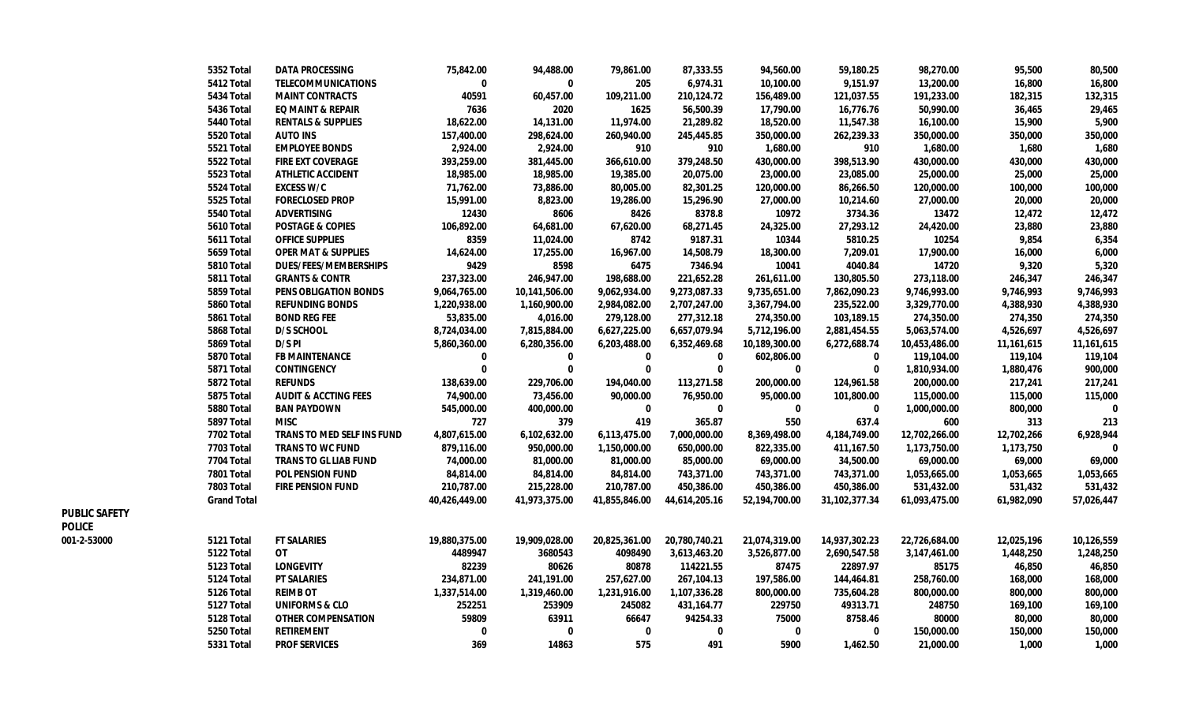|               | 5352 Total         | <b>DATA PROCESSING</b>          | 75,842.00     | 94,488.00     | 79,861.00     | 87,333.55     | 94,560.00     | 59,180.25     | 98,270.00     | 95,500       | 80,500       |
|---------------|--------------------|---------------------------------|---------------|---------------|---------------|---------------|---------------|---------------|---------------|--------------|--------------|
|               | 5412 Total         | <b>TELECOMMUNICATIONS</b>       | 0             | 0             | 205           | 6,974.31      | 10,100.00     | 9,151.97      | 13,200.00     | 16,800       | 16,800       |
|               | 5434 Total         | <b>MAINT CONTRACTS</b>          | 40591         | 60,457.00     | 109,211.00    | 210,124.72    | 156,489.00    | 121,037.55    | 191,233.00    | 182,315      | 132,315      |
|               | 5436 Total         | <b>EQ MAINT &amp; REPAIR</b>    | 7636          | 2020          | 1625          | 56,500.39     | 17,790.00     | 16,776.76     | 50,990.00     | 36,465       | 29,465       |
|               | 5440 Total         | <b>RENTALS &amp; SUPPLIES</b>   | 18,622.00     | 14,131.00     | 11,974.00     | 21,289.82     | 18,520.00     | 11,547.38     | 16,100.00     | 15,900       | 5,900        |
|               | 5520 Total         | AUTO INS                        | 157,400.00    | 298,624.00    | 260,940.00    | 245,445.85    | 350,000.00    | 262,239.33    | 350,000.00    | 350,000      | 350,000      |
|               | 5521 Total         | <b>EMPLOYEE BONDS</b>           | 2,924.00      | 2,924.00      | 910           | 910           | 1,680.00      | 910           | 1,680.00      | 1,680        | 1,680        |
|               | 5522 Total         | <b>FIRE EXT COVERAGE</b>        | 393,259.00    | 381,445.00    | 366,610.00    | 379,248.50    | 430,000.00    | 398,513.90    | 430,000.00    | 430,000      | 430,000      |
|               | 5523 Total         | <b>ATHLETIC ACCIDENT</b>        | 18,985.00     | 18,985.00     | 19,385.00     | 20,075.00     | 23,000.00     | 23,085.00     | 25,000.00     | 25,000       | 25,000       |
|               | 5524 Total         | <b>EXCESS W/C</b>               | 71,762.00     | 73,886.00     | 80,005.00     | 82,301.25     | 120,000.00    | 86,266.50     | 120,000.00    | 100,000      | 100,000      |
|               | 5525 Total         | <b>FORECLOSED PROP</b>          | 15,991.00     | 8,823.00      | 19,286.00     | 15,296.90     | 27,000.00     | 10,214.60     | 27,000.00     | 20,000       | 20,000       |
|               | 5540 Total         | <b>ADVERTISING</b>              | 12430         | 8606          | 8426          | 8378.8        | 10972         | 3734.36       | 13472         | 12,472       | 12,472       |
|               | 5610 Total         | <b>POSTAGE &amp; COPIES</b>     | 106,892.00    | 64,681.00     | 67,620.00     | 68,271.45     | 24,325.00     | 27,293.12     | 24,420.00     | 23,880       | 23,880       |
|               | 5611 Total         | <b>OFFICE SUPPLIES</b>          | 8359          | 11,024.00     | 8742          | 9187.31       | 10344         | 5810.25       | 10254         | 9,854        | 6,354        |
|               | 5659 Total         | <b>OPER MAT &amp; SUPPLIES</b>  | 14,624.00     | 17,255.00     | 16,967.00     | 14,508.79     | 18,300.00     | 7,209.01      | 17,900.00     | 16,000       | 6,000        |
|               | 5810 Total         | <b>DUES/FEES/MEMBERSHIPS</b>    | 9429          | 8598          | 6475          | 7346.94       | 10041         | 4040.84       | 14720         | 9,320        | 5,320        |
|               | 5811 Total         | <b>GRANTS &amp; CONTR</b>       | 237,323.00    | 246,947.00    | 198,688.00    | 221,652.28    | 261,611.00    | 130,805.50    | 273,118.00    | 246,347      | 246,347      |
|               | 5859 Total         | PENS OBLIGATION BONDS           | 9,064,765.00  | 10,141,506.00 | 9,062,934.00  | 9,273,087.33  | 9,735,651.00  | 7,862,090.23  | 9,746,993.00  | 9,746,993    | 9,746,993    |
|               | 5860 Total         | <b>REFUNDING BONDS</b>          | 1,220,938.00  | 1,160,900.00  | 2,984,082.00  | 2,707,247.00  | 3,367,794.00  | 235,522.00    | 3,329,770.00  | 4,388,930    | 4,388,930    |
|               | 5861 Total         | <b>BOND REG FEE</b>             | 53,835.00     | 4,016.00      | 279,128.00    | 277,312.18    | 274,350.00    | 103,189.15    | 274,350.00    | 274,350      | 274,350      |
|               | 5868 Total         | D/S SCHOOL                      | 8,724,034.00  | 7,815,884.00  | 6,627,225.00  | 6,657,079.94  | 5,712,196.00  | 2,881,454.55  | 5,063,574.00  | 4,526,697    | 4,526,697    |
|               | 5869 Total         | D/S PI                          | 5,860,360.00  | 6,280,356.00  | 6,203,488.00  | 6,352,469.68  | 10,189,300.00 | 6,272,688.74  | 10,453,486.00 | 11, 161, 615 | 11,161,615   |
|               | 5870 Total         | <b>FB MAINTENANCE</b>           | 0             | 0             | 0             | 0             | 602,806.00    | 0             | 119,104.00    | 119,104      | 119,104      |
|               | 5871 Total         | <b>CONTINGENCY</b>              | $\mathbf 0$   | $\bf{0}$      | $\Omega$      | $\mathbf{0}$  | $\bf{0}$      | 0             | 1,810,934.00  | 1,880,476    | 900,000      |
|               | 5872 Total         | <b>REFUNDS</b>                  | 138,639.00    | 229,706.00    | 194,040.00    | 113,271.58    | 200,000.00    | 124,961.58    | 200,000.00    | 217,241      | 217,241      |
|               | 5875 Total         | <b>AUDIT &amp; ACCTING FEES</b> | 74,900.00     | 73,456.00     | 90,000.00     | 76,950.00     | 95,000.00     | 101,800.00    | 115,000.00    | 115,000      | 115,000      |
|               | 5880 Total         | <b>BAN PAYDOWN</b>              | 545,000.00    | 400,000.00    | $\mathbf 0$   | 0             | 0             | 0             | 1,000,000.00  | 800,000      | $\mathbf 0$  |
|               | 5897 Total         | <b>MISC</b>                     | 727           | 379           | 419           | 365.87        | 550           | 637.4         | 600           | 313          | 213          |
|               | <b>7702 Total</b>  | TRANS TO MED SELF INS FUND      | 4,807,615.00  | 6,102,632.00  | 6,113,475.00  | 7,000,000.00  | 8,369,498.00  | 4,184,749.00  | 12,702,266.00 | 12,702,266   | 6,928,944    |
|               | <b>7703 Total</b>  | <b>TRANS TO WC FUND</b>         | 879,116.00    | 950,000.00    | 1,150,000.00  | 650,000.00    | 822,335.00    | 411,167.50    | 1,173,750.00  | 1,173,750    | $\mathbf{0}$ |
|               | 7704 Total         | <b>TRANS TO GL LIAB FUND</b>    | 74,000.00     | 81,000.00     | 81,000.00     | 85,000.00     | 69,000.00     | 34,500.00     | 69,000.00     | 69,000       | 69,000       |
|               | 7801 Total         | <b>POL PENSION FUND</b>         | 84,814.00     | 84,814.00     | 84,814.00     | 743,371.00    | 743,371.00    | 743,371.00    | 1,053,665.00  | 1,053,665    | 1,053,665    |
|               | 7803 Total         | <b>FIRE PENSION FUND</b>        | 210,787.00    | 215,228.00    | 210,787.00    | 450,386.00    | 450,386.00    | 450,386.00    | 531,432.00    | 531,432      | 531,432      |
|               | <b>Grand Total</b> |                                 | 40,426,449.00 | 41,973,375.00 | 41,855,846.00 | 44,614,205.16 | 52,194,700.00 | 31,102,377.34 | 61,093,475.00 | 61,982,090   | 57,026,447   |
| PUBLIC SAFETY |                    |                                 |               |               |               |               |               |               |               |              |              |
| Police        |                    |                                 |               |               |               |               |               |               |               |              |              |
| 001-2-53000   | 5121 Total         | <b>FT SALARIES</b>              | 19,880,375.00 | 19,909,028.00 | 20,825,361.00 | 20,780,740.21 | 21,074,319.00 | 14,937,302.23 | 22,726,684.00 | 12,025,196   | 10,126,559   |
|               | 5122 Total         | 0T                              | 4489947       | 3680543       | 4098490       | 3,613,463.20  | 3,526,877.00  | 2,690,547.58  | 3,147,461.00  | 1,448,250    | 1,248,250    |
|               | 5123 Total         | <b>LONGEVITY</b>                | 82239         | 80626         | 80878         | 114221.55     | 87475         | 22897.97      | 85175         | 46,850       | 46,850       |
|               | 5124 Total         | <b>PT SALARIES</b>              | 234,871.00    | 241,191.00    | 257,627.00    | 267,104.13    | 197,586.00    | 144,464.81    | 258,760.00    | 168,000      | 168,000      |
|               | 5126 Total         | <b>REIMB OT</b>                 | 1,337,514.00  | 1,319,460.00  | 1,231,916.00  | 1,107,336.28  | 800,000.00    | 735,604.28    | 800,000.00    | 800,000      | 800,000      |
|               | 5127 Total         | <b>UNIFORMS &amp; CLO</b>       | 252251        | 253909        | 245082        | 431,164.77    | 229750        | 49313.71      | 248750        | 169,100      | 169,100      |
|               | 5128 Total         | <b>OTHER COMPENSATION</b>       | 59809         | 63911         | 66647         | 94254.33      | 75000         | 8758.46       | 80000         | 80,000       | 80,000       |
|               | 5250 Total         | <b>RETIREMENT</b>               | $\mathbf 0$   | $\bf{0}$      | $\bf{0}$      | 0             | $\bf{0}$      | 0             | 150,000.00    | 150,000      | 150,000      |
|               | 5331 Total         | <b>PROF SERVICES</b>            | 369           | 14863         | 575           | 491           | 5900          | 1,462.50      | 21.000.00     | 1,000        | 1,000        |

**PUBLIC SAFETY POLICE**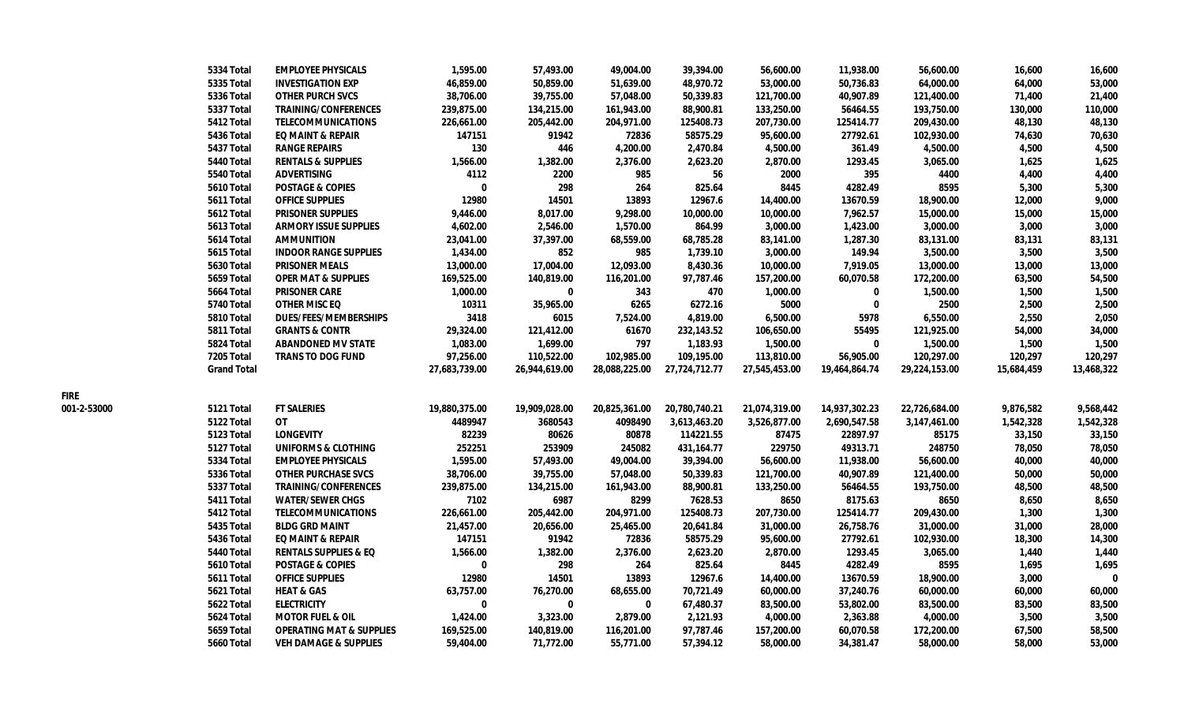|             | 5334 Total         | <b>EMPLOYEE PHYSICALS</b>           | 1,595.00      | 57,493.00     | 49,004.00     | 39,394.00     | 56,600.00     | 11,938.00     | 56,600.00     | 16,600     | 16,600     |
|-------------|--------------------|-------------------------------------|---------------|---------------|---------------|---------------|---------------|---------------|---------------|------------|------------|
|             | 5335 Total         | <b>INVESTIGATION EXP</b>            | 46,859.00     | 50,859.00     | 51,639.00     | 48,970.72     | 53,000.00     | 50,736.83     | 64,000.00     | 64,000     | 53,000     |
|             | <b>5336 Total</b>  | <b>OTHER PURCH SVCS</b>             | 38,706.00     | 39,755.00     | 57,048.00     | 50,339.83     | 121,700.00    | 40,907.89     | 121,400.00    | 71,400     | 21,400     |
|             | 5337 Total         | <b>TRAINING/CONFERENCES</b>         | 239,875.00    | 134,215.00    | 161,943.00    | 88,900.81     | 133,250.00    | 56464.55      | 193,750.00    | 130,000    | 110,000    |
|             | 5412 Total         | <b>TELECOMMUNICATIONS</b>           | 226,661.00    | 205,442.00    | 204,971.00    | 125408.73     | 207,730.00    | 125414.77     | 209,430.00    | 48,130     | 48,130     |
|             | 5436 Total         | <b>EQ MAINT &amp; REPAIR</b>        | 147151        | 91942         | 72836         | 58575.29      | 95,600.00     | 27792.61      | 102,930.00    | 74,630     | 70,630     |
|             | 5437 Total         | <b>RANGE REPAIRS</b>                | 130           | 446           | 4,200.00      | 2,470.84      | 4,500.00      | 361.49        | 4,500.00      | 4,500      | 4,500      |
|             | 5440 Total         | <b>RENTALS &amp; SUPPLIES</b>       | 1,566.00      | 1,382.00      | 2,376.00      | 2,623.20      | 2,870.00      | 1293.45       | 3,065.00      | 1,625      | 1,625      |
|             | 5540 Total         | <b>ADVERTISING</b>                  | 4112          | 2200          | 985           | 56            | 2000          | 395           | 4400          | 4,400      | 4,400      |
|             | <b>5610 Total</b>  | <b>POSTAGE &amp; COPIES</b>         | $\mathbf 0$   | 298           | 264           | 825.64        | 8445          | 4282.49       | 8595          | 5,300      | 5,300      |
|             | 5611 Total         | <b>OFFICE SUPPLIES</b>              | 12980         | 14501         | 13893         | 12967.6       | 14,400.00     | 13670.59      | 18,900.00     | 12,000     | 9,000      |
|             | 5612 Total         | <b>PRISONER SUPPLIES</b>            | 9,446.00      | 8,017.00      | 9,298.00      | 10,000.00     | 10,000.00     | 7,962.57      | 15,000.00     | 15,000     | 15,000     |
|             | 5613 Total         | <b>ARMORY ISSUE SUPPLIES</b>        | 4,602.00      | 2,546.00      | 1,570.00      | 864.99        | 3,000.00      | 1,423.00      | 3,000.00      | 3,000      | 3,000      |
|             | 5614 Total         | <b>AMMUNITION</b>                   | 23,041.00     | 37,397.00     | 68,559.00     | 68,785.28     | 83,141.00     | 1,287.30      | 83,131.00     | 83,131     | 83,131     |
|             | 5615 Total         | <b>INDOOR RANGE SUPPLIES</b>        | 1,434.00      | 852           | 985           | 1,739.10      | 3,000.00      | 149.94        | 3,500.00      | 3,500      | 3,500      |
|             | <b>5630 Total</b>  | <b>PRISONER MEALS</b>               | 13,000.00     | 17,004.00     | 12,093.00     | 8,430.36      | 10,000.00     | 7,919.05      | 13,000.00     | 13,000     | 13,000     |
|             | 5659 Total         | <b>OPER MAT &amp; SUPPLIES</b>      | 169,525.00    | 140,819.00    | 116,201.00    | 97,787.46     | 157,200.00    | 60,070.58     | 172,200.00    | 63,500     | 54,500     |
|             | 5664 Total         | <b>PRISONER CARE</b>                | 1,000.00      | $\mathbf 0$   | 343           | 470           | 1,000.00      | 0             | 1,500.00      | 1,500      | 1,500      |
|             | 5740 Total         | <b>OTHER MISC EQ</b>                | 10311         | 35,965.00     | 6265          | 6272.16       | 5000          | $\mathbf 0$   | 2500          | 2,500      | 2,500      |
|             | 5810 Total         | <b>DUES/FEES/MEMBERSHIPS</b>        | 3418          | 6015          | 7,524.00      | 4,819.00      | 6,500.00      | 5978          | 6,550.00      | 2,550      | 2,050      |
|             | 5811 Total         | <b>GRANTS &amp; CONTR</b>           | 29,324.00     | 121,412.00    | 61670         | 232,143.52    | 106,650.00    | 55495         | 121,925.00    | 54,000     | 34,000     |
|             | 5824 Total         | <b>ABANDONED MV STATE</b>           | 1,083.00      | 1,699.00      | 797           | 1,183.93      | 1,500.00      | $\mathbf 0$   | 1,500.00      | 1,500      | 1,500      |
|             | 7205 Total         | <b>TRANS TO DOG FUND</b>            | 97,256.00     | 110,522.00    | 102,985.00    | 109,195.00    | 113,810.00    | 56,905.00     | 120,297.00    | 120,297    | 120,297    |
|             | <b>Grand Total</b> |                                     | 27,683,739.00 | 26,944,619.00 | 28,088,225.00 | 27,724,712.77 | 27,545,453.00 | 19,464,864.74 | 29,224,153.00 | 15,684,459 | 13,468,322 |
| FIRE        |                    |                                     |               |               |               |               |               |               |               |            |            |
| 001-2-53000 | 5121 Total         | <b>FT SALERIES</b>                  | 19,880,375.00 | 19,909,028.00 | 20,825,361.00 | 20,780,740.21 | 21,074,319.00 | 14,937,302.23 | 22,726,684.00 | 9,876,582  | 9,568,442  |
|             | 5122 Total         | OT                                  | 4489947       | 3680543       | 4098490       | 3,613,463.20  | 3,526,877.00  | 2,690,547.58  | 3,147,461.00  | 1,542,328  | 1,542,328  |
|             | 5123 Total         | <b>LONGEVITY</b>                    | 82239         | 80626         | 80878         | 114221.55     | 87475         | 22897.97      | 85175         | 33,150     | 33,150     |
|             | 5127 Total         | <b>UNIFORMS &amp; CLOTHING</b>      | 252251        | 253909        | 245082        | 431, 164. 77  | 229750        | 49313.71      | 248750        | 78,050     | 78,050     |
|             | 5334 Total         | <b>EMPLOYEE PHYSICALS</b>           | 1,595.00      | 57,493.00     | 49,004.00     | 39,394.00     | 56,600.00     | 11,938.00     | 56,600.00     | 40,000     | 40,000     |
|             | 5336 Total         | <b>OTHER PURCHASE SVCS</b>          | 38,706.00     | 39,755.00     | 57,048.00     | 50,339.83     | 121,700.00    | 40,907.89     | 121,400.00    | 50,000     | 50,000     |
|             | 5337 Total         | <b>TRAINING/CONFERENCES</b>         | 239,875.00    | 134,215.00    | 161,943.00    | 88,900.81     | 133,250.00    | 56464.55      | 193,750.00    | 48,500     | 48,500     |
|             | 5411 Total         | <b>WATER/SEWER CHGS</b>             | 7102          | 6987          | 8299          | 7628.53       | 8650          | 8175.63       | 8650          | 8,650      | 8,650      |
|             | 5412 Total         | <b>TELECOMMUNICATIONS</b>           | 226,661.00    | 205,442.00    | 204,971.00    | 125408.73     | 207,730.00    | 125414.77     | 209,430.00    | 1,300      | 1,300      |
|             | 5435 Total         | <b>BLDG GRD MAINT</b>               | 21,457.00     | 20,656.00     | 25,465.00     | 20,641.84     | 31,000.00     | 26,758.76     | 31,000.00     | 31,000     | 28,000     |
|             | <b>5436 Total</b>  | <b>EQ MAINT &amp; REPAIR</b>        | 147151        | 91942         | 72836         | 58575.29      | 95,600.00     | 27792.61      | 102,930.00    | 18,300     | 14,300     |
|             | 5440 Total         | <b>RENTALS SUPPLIES &amp; EQ</b>    | 1,566.00      | 1,382.00      | 2,376.00      | 2,623.20      | 2,870.00      | 1293.45       | 3,065.00      | 1,440      | 1,440      |
|             | 5610 Total         | <b>POSTAGE &amp; COPIES</b>         | $\mathbf 0$   | 298           | 264           | 825.64        | 8445          | 4282.49       | 8595          | 1,695      | 1,695      |
|             | 5611 Total         | <b>OFFICE SUPPLIES</b>              | 12980         | 14501         | 13893         | 12967.6       | 14,400.00     | 13670.59      | 18,900.00     | 3,000      | $\bf{0}$   |
|             | 5621 Total         | <b>HEAT &amp; GAS</b>               | 63,757.00     | 76,270.00     | 68,655.00     | 70,721.49     | 60,000.00     | 37,240.76     | 60,000.00     | 60,000     | 60,000     |
|             | 5622 Total         | <b>ELECTRICITY</b>                  | 0             | $\bf{0}$      | 0             | 67,480.37     | 83,500.00     | 53,802.00     | 83,500.00     | 83,500     | 83,500     |
|             | 5624 Total         | <b>MOTOR FUEL &amp; OIL</b>         | 1,424.00      | 3,323.00      | 2,879.00      | 2,121.93      | 4,000.00      | 2,363.88      | 4,000.00      | 3,500      | 3,500      |
|             | 5659 Total         | <b>OPERATING MAT &amp; SUPPLIES</b> | 169,525.00    | 140,819.00    | 116,201.00    | 97,787.46     | 157,200.00    | 60,070.58     | 172,200.00    | 67,500     | 58,500     |
|             | <b>5660 Total</b>  | <b>VEH DAMAGE &amp; SUPPLIES</b>    | 59,404.00     | 71.772.00     | 55,771.00     | 57,394.12     | 58,000.00     | 34,381.47     | 58,000.00     | 58,000     | 53,000     |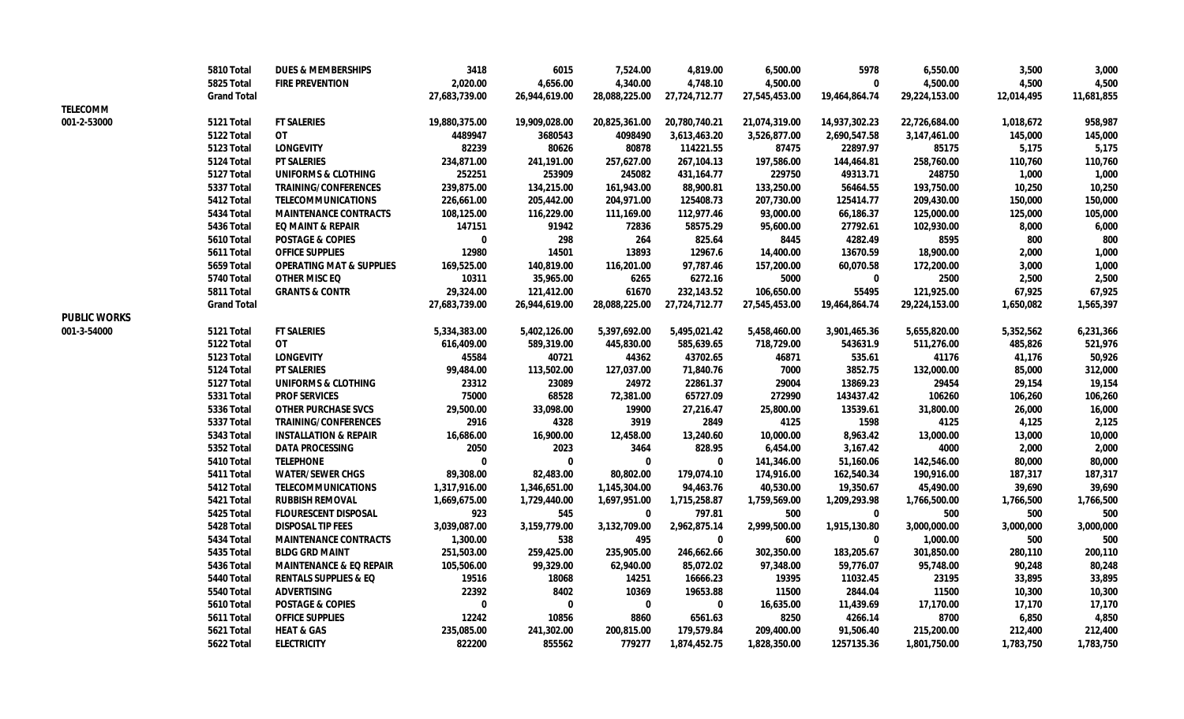|                     | 5810 Total         | <b>DUES &amp; MEMBERSHIPS</b>       | 3418          | 6015          | 7,524.00      | 4,819.00      | 6,500.00      | 5978          | 6,550.00      | 3,500      | 3,000      |
|---------------------|--------------------|-------------------------------------|---------------|---------------|---------------|---------------|---------------|---------------|---------------|------------|------------|
|                     | 5825 Total         | <b>FIRE PREVENTION</b>              | 2,020.00      | 4,656.00      | 4,340.00      | 4,748.10      | 4,500.00      | 0             | 4,500.00      | 4,500      | 4,500      |
|                     | <b>Grand Total</b> |                                     | 27,683,739.00 | 26,944,619.00 | 28,088,225.00 | 27,724,712.77 | 27,545,453.00 | 19,464,864.74 | 29,224,153.00 | 12,014,495 | 11,681,855 |
| <b>TELECOMM</b>     |                    |                                     |               |               |               |               |               |               |               |            |            |
| 001-2-53000         | 5121 Total         | <b>FT SALERIES</b>                  | 19,880,375.00 | 19,909,028.00 | 20,825,361.00 | 20,780,740.21 | 21,074,319.00 | 14,937,302.23 | 22,726,684.00 | 1,018,672  | 958,987    |
|                     | 5122 Total         | 0T                                  | 4489947       | 3680543       | 4098490       | 3,613,463.20  | 3,526,877.00  | 2,690,547.58  | 3,147,461.00  | 145,000    | 145,000    |
|                     | 5123 Total         | <b>LONGEVITY</b>                    | 82239         | 80626         | 80878         | 114221.55     | 87475         | 22897.97      | 85175         | 5,175      | 5,175      |
|                     | 5124 Total         | <b>PT SALERIES</b>                  | 234,871.00    | 241,191.00    | 257,627.00    | 267,104.13    | 197,586.00    | 144,464.81    | 258,760.00    | 110,760    | 110,760    |
|                     | 5127 Total         | <b>UNIFORMS &amp; CLOTHING</b>      | 252251        | 253909        | 245082        | 431, 164. 77  | 229750        | 49313.71      | 248750        | 1,000      | 1,000      |
|                     | 5337 Total         | <b>TRAINING/CONFERENCES</b>         | 239,875.00    | 134,215.00    | 161,943.00    | 88,900.81     | 133,250.00    | 56464.55      | 193,750.00    | 10,250     | 10,250     |
|                     | 5412 Total         | <b>TELECOMMUNICATIONS</b>           | 226,661.00    | 205,442.00    | 204,971.00    | 125408.73     | 207,730.00    | 125414.77     | 209,430.00    | 150,000    | 150,000    |
|                     | <b>5434 Total</b>  | <b>MAINTENANCE CONTRACTS</b>        | 108,125.00    | 116,229.00    | 111,169.00    | 112,977.46    | 93,000.00     | 66,186.37     | 125,000.00    | 125,000    | 105,000    |
|                     | <b>5436 Total</b>  | <b>EQ MAINT &amp; REPAIR</b>        | 147151        | 91942         | 72836         | 58575.29      | 95,600.00     | 27792.61      | 102,930.00    | 8,000      | 6,000      |
|                     | 5610 Total         | <b>POSTAGE &amp; COPIES</b>         | $\Omega$      | 298           | 264           | 825.64        | 8445          | 4282.49       | 8595          | 800        | 800        |
|                     | <b>5611 Total</b>  | <b>OFFICE SUPPLIES</b>              | 12980         | 14501         | 13893         | 12967.6       | 14,400.00     | 13670.59      | 18,900.00     | 2,000      | 1,000      |
|                     | 5659 Total         | <b>OPERATING MAT &amp; SUPPLIES</b> | 169,525.00    | 140,819.00    | 116,201.00    | 97,787.46     | 157,200.00    | 60,070.58     | 172,200.00    | 3,000      | 1,000      |
|                     | 5740 Total         | <b>OTHER MISC EQ</b>                | 10311         | 35,965.00     | 6265          | 6272.16       | 5000          | $\bf{0}$      | 2500          | 2,500      | 2,500      |
|                     | 5811 Total         | <b>GRANTS &amp; CONTR</b>           | 29,324.00     | 121,412.00    | 61670         | 232,143.52    | 106,650.00    | 55495         | 121,925.00    | 67,925     | 67,925     |
|                     | <b>Grand Total</b> |                                     | 27,683,739.00 | 26,944,619.00 | 28,088,225.00 | 27,724,712.77 | 27,545,453.00 | 19,464,864.74 | 29,224,153.00 | 1,650,082  | 1,565,397  |
| <b>PUBLIC WORKS</b> |                    |                                     |               |               |               |               |               |               |               |            |            |
| 001-3-54000         | 5121 Total         | <b>FT SALERIES</b>                  | 5,334,383.00  | 5,402,126.00  | 5,397,692.00  | 5,495,021.42  | 5,458,460.00  | 3,901,465.36  | 5,655,820.00  | 5,352,562  | 6,231,366  |
|                     | 5122 Total         | <b>OT</b>                           | 616,409.00    | 589,319.00    | 445,830.00    | 585,639.65    | 718,729.00    | 543631.9      | 511,276.00    | 485,826    | 521,976    |
|                     | <b>5123 Total</b>  | <b>LONGEVITY</b>                    | 45584         | 40721         | 44362         | 43702.65      | 46871         | 535.61        | 41176         | 41,176     | 50,926     |
|                     | 5124 Total         | <b>PT SALERIES</b>                  | 99,484.00     | 113,502.00    | 127,037.00    | 71,840.76     | 7000          | 3852.75       | 132,000.00    | 85,000     | 312,000    |
|                     | 5127 Total         | <b>UNIFORMS &amp; CLOTHING</b>      | 23312         | 23089         | 24972         | 22861.37      | 29004         | 13869.23      | 29454         | 29,154     | 19,154     |
|                     | 5331 Total         | <b>PROF SERVICES</b>                | 75000         | 68528         | 72,381.00     | 65727.09      | 272990        | 143437.42     | 106260        | 106,260    | 106,260    |
|                     | 5336 Total         | <b>OTHER PURCHASE SVCS</b>          | 29,500.00     | 33,098.00     | 19900         | 27,216.47     | 25,800.00     | 13539.61      | 31,800.00     | 26,000     | 16,000     |
|                     | 5337 Total         | <b>TRAINING/CONFERENCES</b>         | 2916          | 4328          | 3919          | 2849          | 4125          | 1598          | 4125          | 4,125      | 2,125      |
|                     | <b>5343 Total</b>  | <b>INSTALLATION &amp; REPAIR</b>    | 16,686.00     | 16,900.00     | 12,458.00     | 13,240.60     | 10,000.00     | 8,963.42      | 13,000.00     | 13,000     | 10,000     |
|                     | 5352 Total         | <b>DATA PROCESSING</b>              | 2050          | 2023          | 3464          | 828.95        | 6,454.00      | 3,167.42      | 4000          | 2,000      | 2,000      |
|                     | 5410 Total         | <b>TELEPHONE</b>                    | $\bf{0}$      | $\Omega$      | $\bf{0}$      | $\Omega$      | 141,346.00    | 51,160.06     | 142,546.00    | 80,000     | 80,000     |
|                     | 5411 Total         | <b>WATER/SEWER CHGS</b>             | 89,308.00     | 82,483.00     | 80,802.00     | 179,074.10    | 174,916.00    | 162,540.34    | 190,916.00    | 187,317    | 187,317    |
|                     | 5412 Total         | <b>TELECOMMUNICATIONS</b>           | 1,317,916.00  | 1,346,651.00  | 1,145,304.00  | 94,463.76     | 40,530.00     | 19,350.67     | 45,490.00     | 39,690     | 39,690     |
|                     | 5421 Total         | <b>RUBBISH REMOVAL</b>              | 1,669,675.00  | 1,729,440.00  | 1,697,951.00  | 1,715,258.87  | 1,759,569.00  | 1,209,293.98  | 1,766,500.00  | 1,766,500  | 1,766,500  |
|                     | 5425 Total         | <b>FLOURESCENT DISPOSAL</b>         | 923           | 545           | 0             | 797.81        | 500           | 0             | 500           | 500        | 500        |
|                     | 5428 Total         | <b>DISPOSAL TIP FEES</b>            | 3,039,087.00  | 3,159,779.00  | 3,132,709.00  | 2,962,875.14  | 2,999,500.00  | 1,915,130.80  | 3,000,000.00  | 3,000,000  | 3,000,000  |
|                     | 5434 Total         | <b>MAINTENANCE CONTRACTS</b>        | 1,300.00      | 538           | 495           | $\bf{0}$      | 600           | 0             | 1,000.00      | 500        | 500        |
|                     | 5435 Total         | <b>BLDG GRD MAINT</b>               | 251,503.00    | 259,425.00    | 235,905.00    | 246,662.66    | 302,350.00    | 183,205.67    | 301,850.00    | 280,110    | 200,110    |
|                     | <b>5436 Total</b>  | <b>MAINTENANCE &amp; EQ REPAIR</b>  | 105,506.00    | 99,329.00     | 62,940.00     | 85,072.02     | 97,348.00     | 59,776.07     | 95,748.00     | 90,248     | 80,248     |
|                     | 5440 Total         | <b>RENTALS SUPPLIES &amp; EQ</b>    | 19516         | 18068         | 14251         | 16666.23      | 19395         | 11032.45      | 23195         | 33,895     | 33,895     |
|                     | <b>5540 Total</b>  | <b>ADVERTISING</b>                  | 22392         | 8402          | 10369         | 19653.88      | 11500         | 2844.04       | 11500         | 10,300     | 10,300     |
|                     | <b>5610 Total</b>  | <b>POSTAGE &amp; COPIES</b>         | $\bf{0}$      | $\bf{0}$      | $\bf{0}$      | 0             | 16,635.00     | 11,439.69     | 17,170.00     | 17,170     | 17,170     |
|                     | 5611 Total         | <b>OFFICE SUPPLIES</b>              | 12242         | 10856         | 8860          | 6561.63       | 8250          | 4266.14       | 8700          | 6,850      | 4,850      |
|                     | <b>5621 Total</b>  | <b>HEAT &amp; GAS</b>               | 235,085.00    | 241,302.00    | 200,815.00    | 179,579.84    | 209,400.00    | 91,506.40     | 215,200.00    | 212,400    | 212,400    |
|                     | 5622 Total         | <b>ELECTRICITY</b>                  | 822200        | 855562        | 779277        | 1,874,452.75  | 1,828,350.00  | 1257135.36    | 1,801,750.00  | 1,783,750  | 1,783,750  |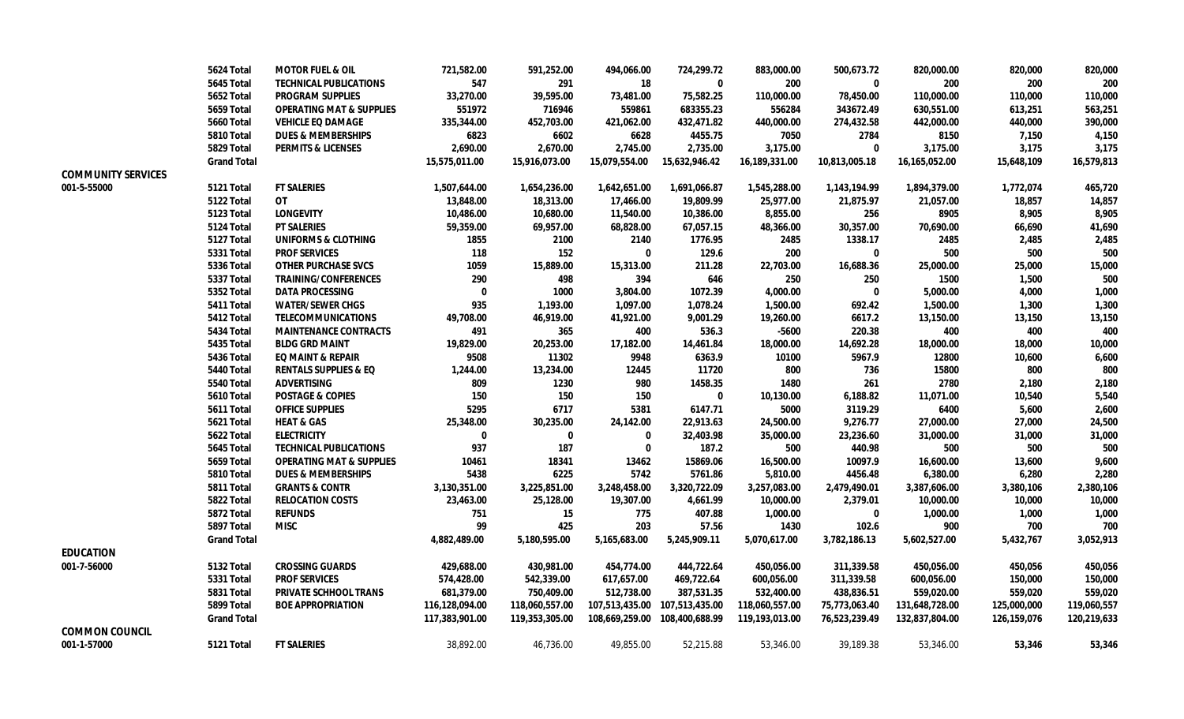|                           | <b>5624 Total</b>  | <b>MOTOR FUEL &amp; OIL</b>         | 721,582.00     | 591,252.00     | 494,066.00     | 724,299.72                    | 883,000.00     | 500,673.72    | 820,000.00     | 820,000     | 820,000     |
|---------------------------|--------------------|-------------------------------------|----------------|----------------|----------------|-------------------------------|----------------|---------------|----------------|-------------|-------------|
|                           | <b>5645 Total</b>  | <b>TECHNICAL PUBLICATIONS</b>       | 547            | 291            | 18             | 0                             | 200            | 0             | 200            | 200         | 200         |
|                           | <b>5652 Total</b>  | <b>PROGRAM SUPPLIES</b>             | 33,270.00      | 39,595.00      | 73,481.00      | 75,582.25                     | 110,000.00     | 78,450.00     | 110,000.00     | 110,000     | 110,000     |
|                           | <b>5659 Total</b>  | <b>OPERATING MAT &amp; SUPPLIES</b> | 551972         | 716946         | 559861         | 683355.23                     | 556284         | 343672.49     | 630,551.00     | 613,251     | 563,251     |
|                           | <b>5660 Total</b>  | <b>VEHICLE EQ DAMAGE</b>            | 335,344.00     | 452,703.00     | 421,062.00     | 432,471.82                    | 440,000.00     | 274,432.58    | 442,000.00     | 440,000     | 390,000     |
|                           | 5810 Total         | <b>DUES &amp; MEMBERSHIPS</b>       | 6823           | 6602           | 6628           | 4455.75                       | 7050           | 2784          | 8150           | 7,150       | 4,150       |
|                           | 5829 Total         | <b>PERMITS &amp; LICENSES</b>       | 2,690.00       | 2,670.00       | 2,745.00       | 2,735.00                      | 3,175.00       | 0             | 3,175.00       | 3,175       | 3,175       |
|                           | <b>Grand Total</b> |                                     | 15,575,011.00  | 15,916,073.00  | 15,079,554.00  | 15,632,946.42                 | 16,189,331.00  | 10,813,005.18 | 16,165,052.00  | 15,648,109  | 16,579,813  |
| <b>COMMUNITY SERVICES</b> |                    |                                     |                |                |                |                               |                |               |                |             |             |
| 001-5-55000               | 5121 Total         | <b>FT SALERIES</b>                  | 1,507,644.00   | 1,654,236.00   | 1,642,651.00   | 1,691,066.87                  | 1,545,288.00   | 1,143,194.99  | 1,894,379.00   | 1,772,074   | 465,720     |
|                           | 5122 Total         | <b>OT</b>                           | 13,848.00      | 18,313.00      | 17,466.00      | 19,809.99                     | 25,977.00      | 21,875.97     | 21,057.00      | 18,857      | 14,857      |
|                           | <b>5123 Total</b>  | <b>LONGEVITY</b>                    | 10,486.00      | 10,680.00      | 11,540.00      | 10,386.00                     | 8,855.00       | 256           | 8905           | 8,905       | 8,905       |
|                           | 5124 Total         | <b>PT SALERIES</b>                  | 59,359.00      | 69,957.00      | 68,828.00      | 67,057.15                     | 48,366.00      | 30,357.00     | 70,690.00      | 66,690      | 41,690      |
|                           | 5127 Total         | <b>UNIFORMS &amp; CLOTHING</b>      | 1855           | 2100           | 2140           | 1776.95                       | 2485           | 1338.17       | 2485           | 2,485       | 2,485       |
|                           | <b>5331 Total</b>  | <b>PROF SERVICES</b>                | 118            | 152            | $\bf{0}$       | 129.6                         | 200            | 0             | 500            | 500         | 500         |
|                           | <b>5336 Total</b>  | <b>OTHER PURCHASE SVCS</b>          | 1059           | 15,889.00      | 15,313.00      | 211.28                        | 22,703.00      | 16,688.36     | 25,000.00      | 25,000      | 15,000      |
|                           | 5337 Total         | <b>TRAINING/CONFERENCES</b>         | 290            | 498            | 394            | 646                           | 250            | 250           | 1500           | 1,500       | 500         |
|                           | <b>5352 Total</b>  | <b>DATA PROCESSING</b>              | $\bf{0}$       | 1000           | 3,804.00       | 1072.39                       | 4,000.00       | 0             | 5,000.00       | 4,000       | 1,000       |
|                           | 5411 Total         | <b>WATER/SEWER CHGS</b>             | 935            | 1,193.00       | 1,097.00       | 1,078.24                      | 1,500.00       | 692.42        | 1,500.00       | 1,300       | 1,300       |
|                           | 5412 Total         | <b>TELECOMMUNICATIONS</b>           | 49,708.00      | 46,919.00      | 41,921.00      | 9,001.29                      | 19,260.00      | 6617.2        | 13,150.00      | 13,150      | 13,150      |
|                           | 5434 Total         | <b>MAINTENANCE CONTRACTS</b>        | 491            | 365            | 400            | 536.3                         | $-5600$        | 220.38        | 400            | 400         | 400         |
|                           | 5435 Total         | <b>BLDG GRD MAINT</b>               | 19,829.00      | 20,253.00      | 17,182.00      | 14,461.84                     | 18,000.00      | 14,692.28     | 18,000.00      | 18,000      | 10,000      |
|                           | <b>5436 Total</b>  | <b>EQ MAINT &amp; REPAIR</b>        | 9508           | 11302          | 9948           | 6363.9                        | 10100          | 5967.9        | 12800          | 10,600      | 6,600       |
|                           | 5440 Total         | <b>RENTALS SUPPLIES &amp; EQ</b>    | 1,244.00       | 13,234.00      | 12445          | 11720                         | 800            | 736           | 15800          | 800         | 800         |
|                           | <b>5540 Total</b>  | <b>ADVERTISING</b>                  | 809            | 1230           | 980            | 1458.35                       | 1480           | 261           | 2780           | 2,180       | 2,180       |
|                           | <b>5610 Total</b>  | <b>POSTAGE &amp; COPIES</b>         | 150            | 150            | 150            | $\bf{0}$                      | 10,130.00      | 6,188.82      | 11,071.00      | 10,540      | 5,540       |
|                           | 5611 Total         | <b>OFFICE SUPPLIES</b>              | 5295           | 6717           | 5381           | 6147.71                       | 5000           | 3119.29       | 6400           | 5,600       | 2,600       |
|                           | <b>5621 Total</b>  | <b>HEAT &amp; GAS</b>               | 25,348.00      | 30,235.00      | 24,142.00      | 22,913.63                     | 24,500.00      | 9,276.77      | 27,000.00      | 27,000      | 24,500      |
|                           | 5622 Total         | <b>ELECTRICITY</b>                  | 0              | $\bf{0}$       | 0              | 32,403.98                     | 35,000.00      | 23,236.60     | 31,000.00      | 31,000      | 31,000      |
|                           | 5645 Total         | <b>TECHNICAL PUBLICATIONS</b>       | 937            | 187            | 0              | 187.2                         | 500            | 440.98        | 500            | 500         | 500         |
|                           | 5659 Total         | <b>OPERATING MAT &amp; SUPPLIES</b> | 10461          | 18341          | 13462          | 15869.06                      | 16,500.00      | 10097.9       | 16,600.00      | 13,600      | 9,600       |
|                           | 5810 Total         | <b>DUES &amp; MEMBERSHIPS</b>       | 5438           | 6225           | 5742           | 5761.86                       | 5,810.00       | 4456.48       | 6,380.00       | 6,280       | 2,280       |
|                           | 5811 Total         | <b>GRANTS &amp; CONTR</b>           | 3,130,351.00   | 3,225,851.00   | 3,248,458.00   | 3,320,722.09                  | 3,257,083.00   | 2,479,490.01  | 3,387,606.00   | 3,380,106   | 2,380,106   |
|                           | 5822 Total         | <b>RELOCATION COSTS</b>             | 23,463.00      | 25,128.00      | 19,307.00      | 4,661.99                      | 10,000.00      | 2,379.01      | 10,000.00      | 10,000      | 10,000      |
|                           | <b>5872 Total</b>  | <b>REFUNDS</b>                      | 751            | 15             | 775            | 407.88                        | 1,000.00       | 0             | 1,000.00       | 1,000       | 1,000       |
|                           | 5897 Total         | <b>MISC</b>                         | 99             | 425            | 203            | 57.56                         | 1430           | 102.6         | 900            | 700         | 700         |
|                           | <b>Grand Total</b> |                                     | 4,882,489.00   | 5,180,595.00   | 5,165,683.00   | 5,245,909.11                  | 5,070,617.00   | 3,782,186.13  | 5,602,527.00   | 5,432,767   | 3,052,913   |
| <b>EDUCATION</b>          |                    |                                     |                |                |                |                               |                |               |                |             |             |
| 001-7-56000               | 5132 Total         | <b>CROSSING GUARDS</b>              | 429,688.00     | 430,981.00     | 454,774.00     | 444,722.64                    | 450,056.00     | 311,339.58    | 450,056.00     | 450,056     | 450,056     |
|                           | <b>5331 Total</b>  | <b>PROF SERVICES</b>                | 574,428.00     | 542,339.00     | 617,657.00     | 469,722.64                    | 600,056.00     | 311,339.58    | 600,056.00     | 150,000     | 150,000     |
|                           | <b>5831 Total</b>  | <b>PRIVATE SCHHOOL TRANS</b>        | 681,379.00     | 750,409.00     | 512,738.00     | 387,531.35                    | 532,400.00     | 438,836.51    | 559,020.00     | 559,020     | 559,020     |
|                           | 5899 Total         | <b>BOE APPROPRIATION</b>            | 116,128,094.00 | 118,060,557.00 |                | 107,513,435.00 107,513,435.00 | 118,060,557.00 | 75,773,063.40 | 131,648,728.00 | 125,000,000 | 119,060,557 |
|                           | <b>Grand Total</b> |                                     | 117,383,901.00 | 119,353,305.00 | 108,669,259.00 | 108,400,688.99                | 119,193,013.00 | 76,523,239.49 | 132,837,804.00 | 126,159,076 | 120,219,633 |
| <b>COMMON COUNCIL</b>     |                    |                                     |                |                |                |                               |                |               |                |             |             |
| 001-1-57000               | 5121 Total         | <b>FT SALERIES</b>                  | 38,892.00      | 46,736.00      | 49,855.00      | 52,215.88                     | 53,346.00      | 39,189.38     | 53,346.00      | 53,346      | 53,346      |